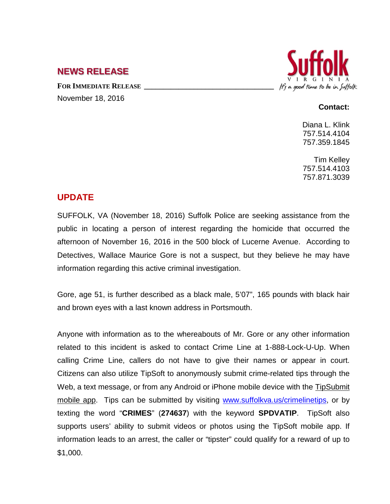## **NEWS RELEASE**

FOR **IMMEDIATE RELEASE** November 18, 2016



#### **Contact:**

Diana L. Klink 757.514.4104 757.359.1845

Tim Kelley 757.514.4103 757.871.3039

# **UPDATE**

SUFFOLK, VA (November 18, 2016) Suffolk Police are seeking assistance from the public in locating a person of interest regarding the homicide that occurred the afternoon of November 16, 2016 in the 500 block of Lucerne Avenue. According to Detectives, Wallace Maurice Gore is not a suspect, but they believe he may have information regarding this active criminal investigation.

Gore, age 51, is further described as a black male, 5'07", 165 pounds with black hair and brown eyes with a last known address in Portsmouth.

Anyone with information as to the whereabouts of Mr. Gore or any other information related to this incident is asked to contact Crime Line at 1-888-Lock-U-Up. When calling Crime Line, callers do not have to give their names or appear in court. Citizens can also utilize TipSoft to anonymously submit crime-related tips through the Web, a text message, or from any Android or iPhone mobile device with the TipSubmit [mobile app.](http://www.tipsoft.com/index.asp?P=TipSubmitMobile) Tips can be submitted by visiting [www.suffolkva.us/crimelinetips,](http://www.suffolkva.us/crimelinetips) or by texting the word "**CRIMES**" (**274637**) with the keyword **SPDVATIP**. TipSoft also supports users' ability to submit videos or photos using the TipSoft mobile app. If information leads to an arrest, the caller or "tipster" could qualify for a reward of up to \$1,000.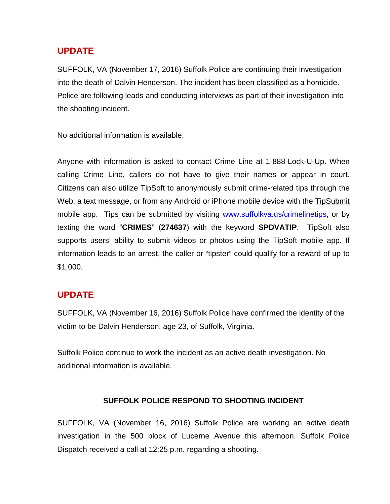## **UPDATE**

SUFFOLK, VA (November 17, 2016) Suffolk Police are continuing their investigation into the death of Dalvin Henderson. The incident has been classified as a homicide. Police are following leads and conducting interviews as part of their investigation into the shooting incident.

No additional information is available.

Anyone with information is asked to contact Crime Line at 1-888-Lock-U-Up. When calling Crime Line, callers do not have to give their names or appear in court. Citizens can also utilize TipSoft to anonymously submit crime-related tips through the Web, a text message, or from any Android or iPhone mobile device with the [TipSubmit](http://www.tipsoft.com/index.asp?P=TipSubmitMobile)  [mobile app.](http://www.tipsoft.com/index.asp?P=TipSubmitMobile) Tips can be submitted by visiting [www.suffolkva.us/crimelinetips,](http://www.suffolkva.us/crimelinetips) or by texting the word "**CRIMES**" (**274637**) with the keyword **SPDVATIP**. TipSoft also supports users' ability to submit videos or photos using the TipSoft mobile app. If information leads to an arrest, the caller or "tipster" could qualify for a reward of up to \$1,000.

# **UPDATE**

SUFFOLK, VA (November 16, 2016) Suffolk Police have confirmed the identity of the victim to be Dalvin Henderson, age 23, of Suffolk, Virginia.

Suffolk Police continue to work the incident as an active death investigation. No additional information is available.

#### **SUFFOLK POLICE RESPOND TO SHOOTING INCIDENT**

SUFFOLK, VA (November 16, 2016) Suffolk Police are working an active death investigation in the 500 block of Lucerne Avenue this afternoon. Suffolk Police Dispatch received a call at 12:25 p.m. regarding a shooting.